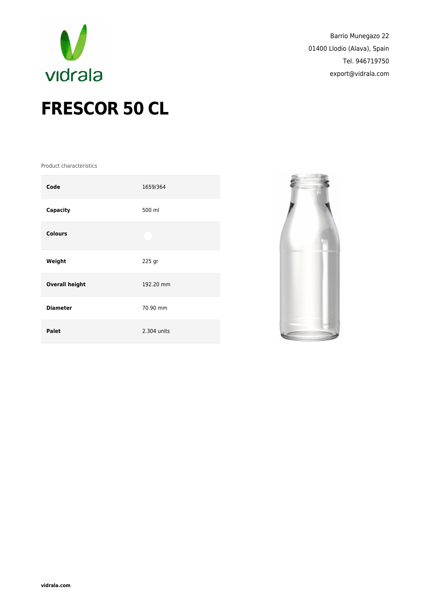

Barrio Munegazo 22 01400 Llodio (Alava), Spain Tel. 946719750 export@vidrala.com

## **FRESCOR 50 CL**

Product characteristics

| Code                  | 1659/364    |
|-----------------------|-------------|
| Capacity              | 500 ml      |
| <b>Colours</b>        |             |
| Weight                | 225 gr      |
| <b>Overall height</b> | 192.20 mm   |
| <b>Diameter</b>       | 70.90 mm    |
| Palet                 | 2.304 units |